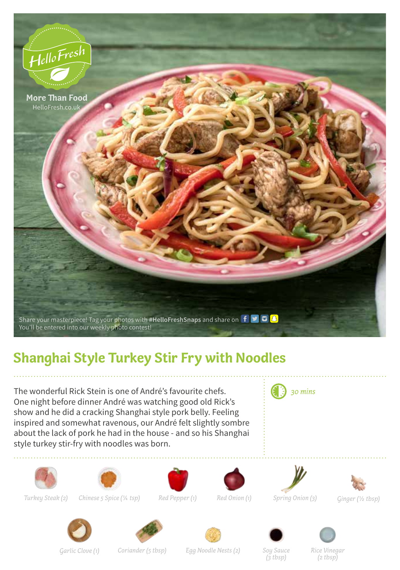

## **Shanghai Style Turkey Stir Fry with Noodles**

The wonderful Rick Stein is one of André's favourite chefs. One night before dinner André was watching good old Rick's show and he did a cracking Shanghai style pork belly. Feeling inspired and somewhat ravenous, our André felt slightly sombre about the lack of pork he had in the house - and so his Shanghai style turkey stir-fry with noodles was born.







*Turkey Steak (2) Chinese 5 Spice (1/4 tsp) Red Pepper (1) Red Onion (1) Spring Onion (3) Ginger (1/2 tbsp)*







*30 mins*













*Garlic Clove (1) Coriander (5 tbsp) Egg Noodle Nests (2) Soy Sauce* 

*(3 tbsp)*

*Rice Vinegar (2 tbsp)*